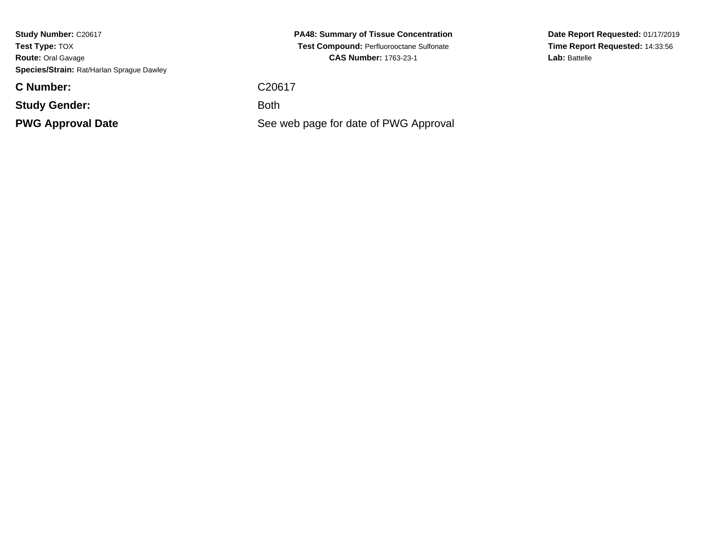**Study Number:** C20617**Test Type:** TOX **Route:** Oral Gavage**Species/Strain:** Rat/Harlan Sprague Dawley

**C Number:**

**Study Gender:**

**PWG Approval Date**

**PA48: Summary of Tissue Concentration Test Compound:** Perfluorooctane Sulfonate**CAS Number:** 1763-23-1

C20617

: Both

See web page for date of PWG Approval

**Date Report Requested:** 01/17/2019**Time Report Requested:** 14:33:56Lab: Battelle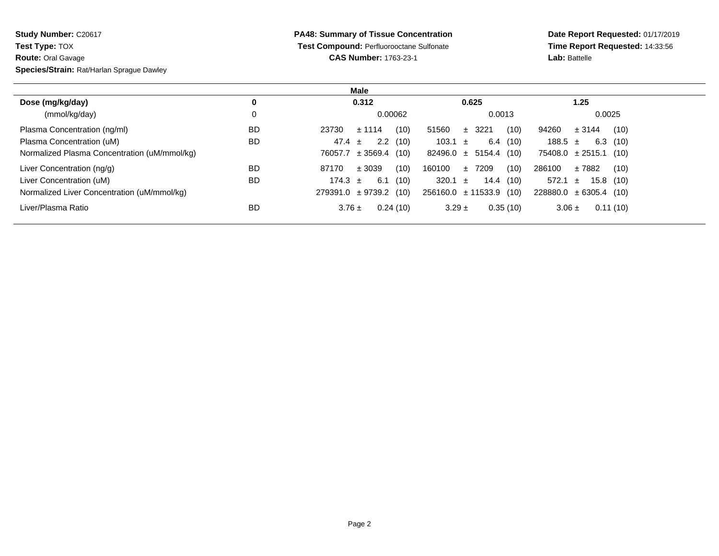| Study Number: C20617                      |
|-------------------------------------------|
| <b>Test Type: TOX</b>                     |
| <b>Route: Oral Gavage</b>                 |
| Species/Strain: Rat/Harlan Sprague Dawley |

**PA48: Summary of Tissue Concentration Test Compound:** Perfluorooctane Sulfonate**CAS Number:** 1763-23-1

**Date Report Requested:** 01/17/2019 **Time Report Requested:** 14:33:56**Lab:** Battelle

| Male                                         |           |                              |                             |                             |
|----------------------------------------------|-----------|------------------------------|-----------------------------|-----------------------------|
| Dose (mg/kg/day)                             | 0         | 0.312                        | 0.625                       | 1.25                        |
| (mmol/kg/day)                                |           | 0.00062                      | 0.0013                      | 0.0025                      |
| Plasma Concentration (ng/ml)                 | <b>BD</b> | (10)<br>23730<br>± 1114      | 51560<br>(10)<br>$±$ 3221   | 94260<br>(10)<br>± 3144     |
| Plasma Concentration (uM)                    | <b>BD</b> | 2.2(10)<br>47.4<br>$\pm$     | 103.1 $\pm$<br>6.4(10)      | $6.3$ (10)<br>188.5 $\pm$   |
| Normalized Plasma Concentration (uM/mmol/kg) |           | $\pm$ 3569.4 (10)<br>76057.7 | $82496.0 \pm 5154.4$ (10)   | $75408.0 \pm 2515.1$ (10)   |
| Liver Concentration (ng/g)                   | <b>BD</b> | (10)<br>87170<br>± 3039      | (10)<br>160100<br>±7209     | 286100<br>(10)<br>± 7882    |
| Liver Concentration (uM)                     | <b>BD</b> | 6.1<br>174.3 $\pm$<br>(10)   | 320.1 $\pm$<br>14.4 (10)    | 572.1 $\pm$<br>15.8<br>(10) |
| Normalized Liver Concentration (uM/mmol/kg)  |           | $279391.0 \pm 9739.2$ (10)   | $256160.0 \pm 11533.9$ (10) | $228880.0 \pm 6305.4$ (10)  |
| Liver/Plasma Ratio                           | <b>BD</b> | 0.24(10)<br>$3.76 \pm$       | 0.35(10)<br>$3.29 \pm$      | 0.11(10)<br>$3.06 \pm$      |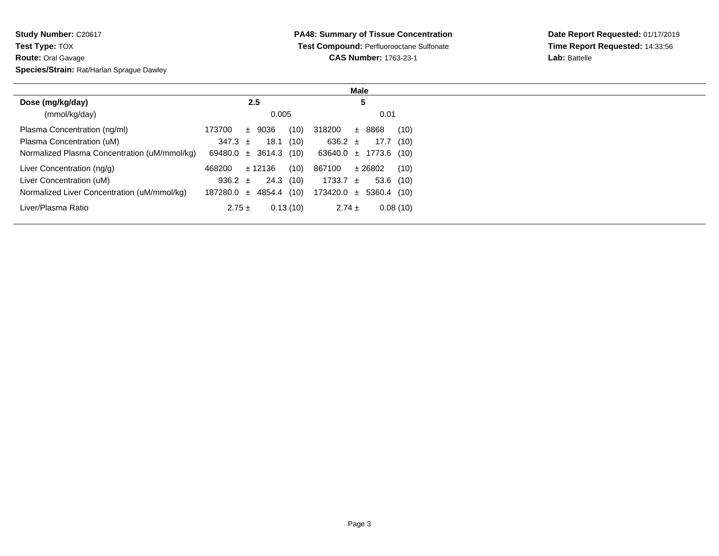| <b>Study Number: C20617</b>               |
|-------------------------------------------|
| <b>Test Type: TOX</b>                     |
| <b>Route: Oral Gavage</b>                 |
| Species/Strain: Rat/Harlan Sprague Dawley |
|                                           |

| Male                                         |                                 |                             |  |
|----------------------------------------------|---------------------------------|-----------------------------|--|
| Dose (mg/kg/day)                             | 2.5                             | 5                           |  |
| (mmol/kg/day)                                | 0.005                           | 0.01                        |  |
| Plasma Concentration (ng/ml)                 | 173700<br>9036<br>(10)<br>$\pm$ | 318200<br>± 8868<br>(10)    |  |
| Plasma Concentration (uM)                    | 18.1<br>347.3 $\pm$<br>(10)     | 636.2 $\pm$<br>17.7 (10)    |  |
| Normalized Plasma Concentration (uM/mmol/kg) | $69480.0 \pm 3614.3$ (10)       | $63640.0 \pm 1773.6$ (10)   |  |
| Liver Concentration (ng/g)                   | (10)<br>± 12136<br>468200       | 867100<br>± 26802<br>(10)   |  |
| Liver Concentration (uM)                     | 24.3 (10)<br>936.2 $\pm$        | 1733.7 $\pm$<br>$53.6$ (10) |  |
| Normalized Liver Concentration (uM/mmol/kg)  | 4854.4 (10)<br>$187280.0 \pm$   | $173420.0 \pm 5360.4$ (10)  |  |
| Liver/Plasma Ratio                           | $2.75 \pm$<br>0.13(10)          | $2.74 \pm$<br>0.08(10)      |  |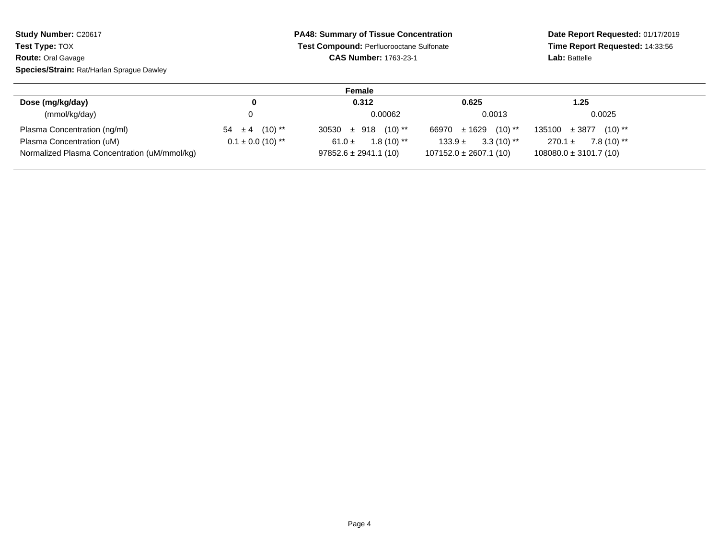| Study Number: C20617                      | <b>PA48: Summary of Tissue Concentration</b> | Date Report Requested: 01/17/2019<br>Time Report Requested: 14:33:56 |               |  |
|-------------------------------------------|----------------------------------------------|----------------------------------------------------------------------|---------------|--|
| <b>Test Type: TOX</b>                     | Test Compound: Perfluorooctane Sulfonate     |                                                                      |               |  |
| <b>Route: Oral Gavage</b>                 | <b>CAS Number: 1763-23-1</b>                 |                                                                      | Lab: Battelle |  |
| Species/Strain: Rat/Harlan Sprague Dawley |                                              |                                                                      |               |  |
|                                           | Female                                       |                                                                      |               |  |
| Dose (mg/kg/day)                          | 0.312                                        | 0.625                                                                | 1.25          |  |
| (mmol/kg/day)                             | 0.00062                                      | 0.0013                                                               | 0.0025        |  |

| (mmol/kg/day)                                |                               | 0.00062                            | 0.0013                     | 0.0025                         |
|----------------------------------------------|-------------------------------|------------------------------------|----------------------------|--------------------------------|
| Plasma Concentration (ng/ml)                 | $54 \pm 4$ (10) <sup>**</sup> | $30530 \pm 918$ (10) <sup>**</sup> | $66970 \pm 1629$ (10) **   | $135100 \pm 3877$<br>$(10)$ ** |
| Plasma Concentration (uM)                    | $0.1 \pm 0.0$ (10) **         | $1.8(10)$ **<br>61.0 $\pm$         | $3.3(10)$ **<br>$133.9 +$  | 7.8 (10) **<br>$270.1 \pm$     |
| Normalized Plasma Concentration (uM/mmol/kg) |                               | $97852.6 \pm 2941.1(10)$           | $107152.0 \pm 2607.1$ (10) | $108080.0 \pm 3101.7(10)$      |
|                                              |                               |                                    |                            |                                |
|                                              |                               |                                    |                            |                                |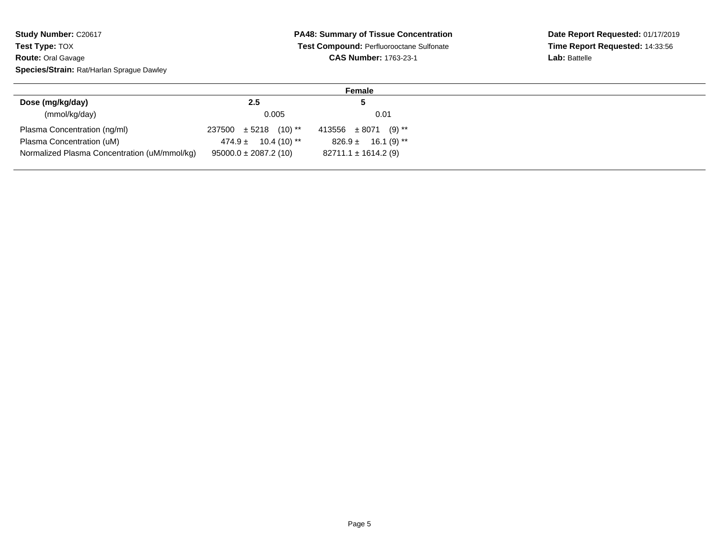**Study Number: C20617 Test Type:** TOX **Route:** Oral Gavage**Species/Strain:** Rat/Harlan Sprague Dawley

## **PA48: Summary of Tissue Concentration Test Compound:** Perfluorooctane Sulfonate**CAS Number:** 1763-23-1

**Date Report Requested:** 01/17/2019 **Time Report Requested:** 14:33:56**Lab:** Battelle